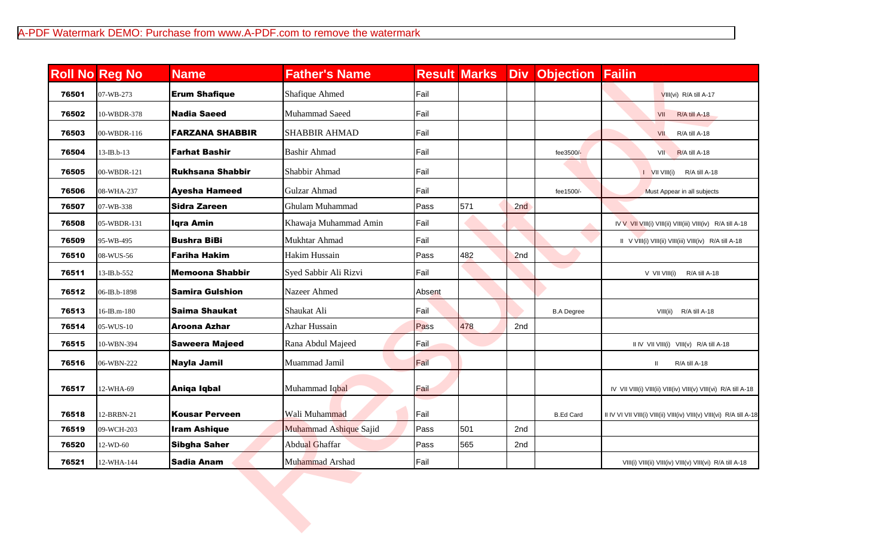|       | <b>Roll No Reg No</b> | <b>Name</b>             | <b>Father's Name</b>   |        | <b>Result Marks</b> | Div | <b>Objection</b>  | Failin                                                                |
|-------|-----------------------|-------------------------|------------------------|--------|---------------------|-----|-------------------|-----------------------------------------------------------------------|
| 76501 | 07-WB-273             | <b>Erum Shafique</b>    | Shafique Ahmed         | Fail   |                     |     |                   | VIII(vi) R/A till A-17                                                |
| 76502 | 10-WBDR-378           | <b>Nadia Saeed</b>      | Muhammad Saeed         | Fail   |                     |     |                   | VII<br>R/A till A-18                                                  |
| 76503 | 00-WBDR-116           | <b>FARZANA SHABBIR</b>  | <b>SHABBIR AHMAD</b>   | Fail   |                     |     |                   | R/A till A-18<br>VII                                                  |
| 76504 | $13$ -IB.b- $13$      | <b>Farhat Bashir</b>    | <b>Bashir Ahmad</b>    | Fail   |                     |     | fee3500/-         | R/A till A-18<br>VII                                                  |
| 76505 | 00-WBDR-121           | <b>Rukhsana Shabbir</b> | Shabbir Ahmad          | Fail   |                     |     |                   | $I$ VII VIII(i)<br>R/A till A-18                                      |
| 76506 | 08-WHA-237            | <b>Ayesha Hameed</b>    | Gulzar Ahmad           | Fail   |                     |     | fee1500/-         | Must Appear in all subjects                                           |
| 76507 | 07-WB-338             | <b>Sidra Zareen</b>     | Ghulam Muhammad        | Pass   | 571                 | 2nd |                   |                                                                       |
| 76508 | 05-WBDR-131           | <b>Iqra Amin</b>        | Khawaja Muhammad Amin  | Fail   |                     |     |                   | IV V VII VIII(i) VIII(ii) VIII(iii) VIII(iv) R/A till A-18            |
| 76509 | 95-WB-495             | <b>Bushra BiBi</b>      | Mukhtar Ahmad          | Fail   |                     |     |                   | II V VIII(i) VIII(ii) VIII(iii) VIII(iv) R/A till A-18                |
| 76510 | 08-WUS-56             | <b>Fariha Hakim</b>     | <b>Hakim Hussain</b>   | Pass   | 482                 | 2nd |                   |                                                                       |
| 76511 | 13-IB.b-552           | <b>Memoona Shabbir</b>  | Syed Sabbir Ali Rizvi  | Fail   |                     |     | a a               | V VII VIII(i)<br>R/A till A-18                                        |
| 76512 | 06-IB.b-1898          | <b>Samira Gulshion</b>  | Nazeer Ahmed           | Absent |                     |     |                   |                                                                       |
| 76513 | 16-IB.m-180           | <b>Saima Shaukat</b>    | Shaukat Ali            | Fail   |                     |     | <b>B.A Degree</b> | VIII(ii)<br>R/A till A-18                                             |
| 76514 | 05-WUS-10             | Aroona Azhar            | <b>Azhar Hussain</b>   | Pass   | 478                 | 2nd |                   |                                                                       |
| 76515 | 10-WBN-394            | <b>Saweera Majeed</b>   | Rana Abdul Majeed      | Fail   |                     |     |                   | II IV VII VIII(i) VIII(v) R/A till A-18                               |
| 76516 | 06-WBN-222            | <b>Nayla Jamil</b>      | Muammad Jamil          | Fail   |                     |     |                   | R/A till A-18                                                         |
| 76517 | 12-WHA-69             | Aniqa Iqbal             | Muhammad Iqbal         | Fail   |                     |     |                   | IV VII VIII(i) VIII(ii) VIII(iv) VIII(v) VIII(vi) R/A till A-18       |
| 76518 | 12-BRBN-21            | <b>Kousar Perveen</b>   | Wali Muhammad          | Fail   |                     |     | <b>B.Ed Card</b>  | II IV VI VII VIII(i) VIII(ii) VIII(iv) VIII(v) VIII(vi) R/A till A-18 |
| 76519 | 09-WCH-203            | <b>Iram Ashique</b>     | Muhammad Ashique Sajid | Pass   | 501                 | 2nd |                   |                                                                       |
| 76520 | 12-WD-60              | <b>Sibgha Saher</b>     | Abdual Ghaffar         | Pass   | 565                 | 2nd |                   |                                                                       |
| 76521 | 12-WHA-144            | <b>Sadia Anam</b>       | Muhammad Arshad        | Fail   |                     |     |                   | VIII(i) VIII(ii) VIII(iv) VIII(v) VIII(vi) R/A till A-18              |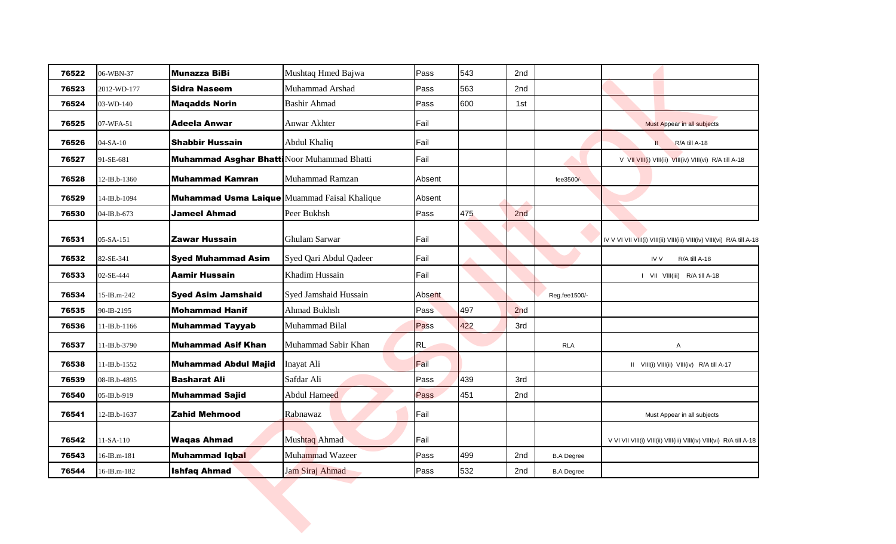| 76522 | 06-WBN-37         | <b>Munazza BiBi</b>                                 | Mushtaq Hmed Bajwa     | Pass        | 543 | 2nd |                   |                                                                        |
|-------|-------------------|-----------------------------------------------------|------------------------|-------------|-----|-----|-------------------|------------------------------------------------------------------------|
| 76523 | 2012-WD-177       | <b>Sidra Naseem</b>                                 | Muhammad Arshad        | Pass        | 563 | 2nd |                   |                                                                        |
| 76524 | 03-WD-140         | <b>Maqadds Norin</b>                                | <b>Bashir Ahmad</b>    | Pass        | 600 | 1st |                   |                                                                        |
| 76525 | 07-WFA-51         | <b>Adeela Anwar</b>                                 | Anwar Akhter           | Fail        |     |     |                   | Must Appear in all subjects                                            |
| 76526 | $04-SA-10$        | <b>Shabbir Hussain</b>                              | Abdul Khaliq           | Fail        |     |     |                   | R/A till A-18                                                          |
| 76527 | 91-SE-681         | Muhammad Asghar Bhatti Noor Muhammad Bhatti         |                        | Fail        |     |     |                   | V VII VIII(i) VIII(ii) VIII(iv) VIII(vi) R/A till A-18                 |
| 76528 | 12-IB.b-1360      | <b>Muhammad Kamran</b>                              | Muhammad Ramzan        | Absent      |     |     | fee3500/-         |                                                                        |
| 76529 | 14-IB.b-1094      | <b>Muhammad Usma Laique</b> Muammad Faisal Khalique |                        | Absent      |     |     |                   |                                                                        |
| 76530 | 04-IB.b-673       | <b>Jameel Ahmad</b>                                 | Peer Bukhsh            | Pass        | 475 | 2nd |                   |                                                                        |
| 76531 | 05-SA-151         | <b>Zawar Hussain</b>                                | Ghulam Sarwar          | Fail        |     |     |                   | IV V VI VII VIII(i) VIII(ii) VIII(iii) VIII(iv) VIII(vi) R/A till A-18 |
| 76532 | 82-SE-341         | <b>Syed Muhammad Asim</b>                           | Syed Qari Abdul Qadeer | <b>Fail</b> |     |     |                   | R/A till A-18<br>IV V                                                  |
| 76533 | 02-SE-444         | <b>Aamir Hussain</b>                                | Khadim Hussain         | Fail        |     |     |                   | I VII VIII(iii) R/A till A-18                                          |
| 76534 | 15-IB.m-242       | <b>Syed Asim Jamshaid</b>                           | Syed Jamshaid Hussain  | Absent      |     |     | Reg.fee1500/-     |                                                                        |
| 76535 | 90-IB-2195        | <b>Mohammad Hanif</b>                               | Ahmad Bukhsh           | Pass        | 497 | 2nd |                   |                                                                        |
| 76536 | 11-IB.b-1166      | <b>Muhammad Tayyab</b>                              | Muhammad Bilal         | Pass        | 422 | 3rd |                   |                                                                        |
| 76537 | 11-IB.b-3790      | <b>Muhammad Asif Khan</b>                           | Muhammad Sabir Khan    | RL.         |     |     | <b>RLA</b>        | Α                                                                      |
| 76538 | 11-IB.b-1552      | <b>Muhammad Abdul Majid</b>                         | Inayat Ali             | Fail        |     |     |                   | II VIII(i) VIII(ii) VIII(iv) R/A till A-17                             |
| 76539 | 08-IB.b-4895      | <b>Basharat Ali</b>                                 | Safdar Ali             | Pass        | 439 | 3rd |                   |                                                                        |
| 76540 | 05-IB.b-919       | <b>Muhammad Sajid</b>                               | Abdul Hameed           | <b>Pass</b> | 451 | 2nd |                   |                                                                        |
| 76541 | 12-IB.b-1637      | <b>Zahid Mehmood</b>                                | Rabnawaz               | Fail        |     |     |                   | Must Appear in all subjects                                            |
| 76542 | 11-SA-110         | <b>Waqas Ahmad</b>                                  | Mushtaq Ahmad          | Fail        |     |     |                   | V VI VII VIII(i) VIII(ii) VIII(iii) VIII(iv) VIII(vi) R/A till A-18    |
| 76543 | $16$ -IB.m- $181$ | <b>Muhammad Iqbal</b>                               | Muhammad Wazeer        | Pass        | 499 | 2nd | <b>B.A Degree</b> |                                                                        |
| 76544 | 16-IB.m-182       | <b>Ishfaq Ahmad</b>                                 | Jam Siraj Ahmad        | Pass        | 532 | 2nd | <b>B.A Degree</b> |                                                                        |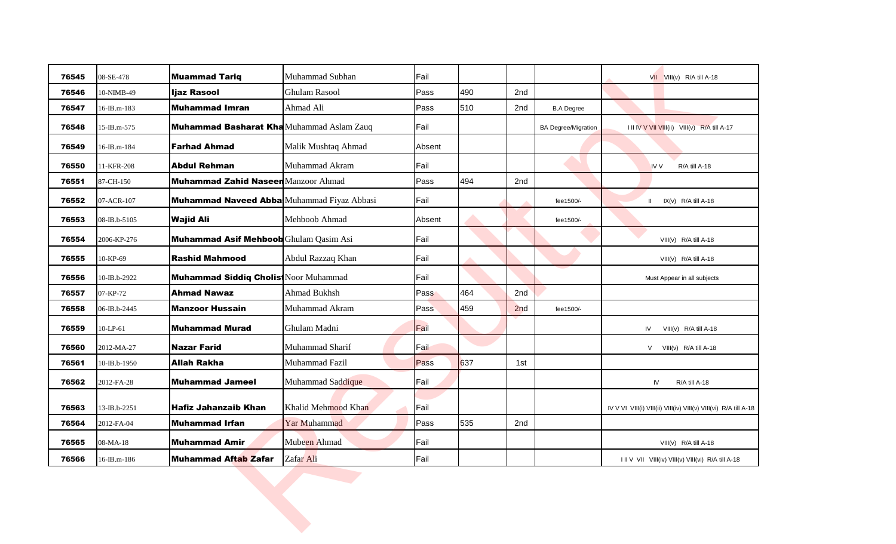| 76545 | 08-SE-478    | <b>Muammad Tariq</b>                             | Muhammad Subhan     | Fail          |     |     |                            | VII VIII(v) R/A till A-18                                        |
|-------|--------------|--------------------------------------------------|---------------------|---------------|-----|-----|----------------------------|------------------------------------------------------------------|
| 76546 | 10-NIMB-49   | Ijaz Rasool                                      | Ghulam Rasool       | Pass          | 490 | 2nd |                            |                                                                  |
| 76547 | 16-IB.m-183  | <b>Muhammad Imran</b>                            | Ahmad Ali           | Pass          | 510 | 2nd | <b>B.A Degree</b>          |                                                                  |
| 76548 | 15-IB.m-575  | <b>Muhammad Basharat Kha</b> Muhammad Aslam Zauq |                     | Fail          |     |     | <b>BA Degree/Migration</b> | I II IV V VII VIII(ii) VIII(v) R/A till A-17                     |
| 76549 | 16-IB.m-184  | <b>Farhad Ahmad</b>                              | Malik Mushtaq Ahmad | Absent        |     |     |                            |                                                                  |
| 76550 | 11-KFR-208   | <b>Abdul Rehman</b>                              | Muhammad Akram      | Fail          |     |     |                            | <b>IV V</b><br>R/A till A-18                                     |
| 76551 | 87-CH-150    | <b>Muhammad Zahid Naseen Manzoor Ahmad</b>       |                     | Pass          | 494 | 2nd |                            |                                                                  |
| 76552 | 07-ACR-107   | Muhammad Naveed Abba Muhammad Fiyaz Abbasi       |                     | <b> F</b> ail |     |     | fee1500/-                  | $IX(v)$ R/A till A-18<br>$\mathbf{II}$                           |
| 76553 | 08-IB.b-5105 | <b>Wajid Ali</b>                                 | Mehboob Ahmad       | Absent        |     |     | fee1500/-                  |                                                                  |
| 76554 | 2006-KP-276  | Muhammad Asif Mehboob Ghulam Qasim Asi           |                     | Fail          |     |     |                            | VIII(v) R/A till A-18                                            |
| 76555 | 10-KP-69     | <b>Rashid Mahmood</b>                            | Abdul Razzaq Khan   | Fail          |     |     |                            | $VIII(v)$ R/A till A-18                                          |
| 76556 | 10-IB.b-2922 | <b>Muhammad Siddiq Cholis</b> Noor Muhammad      |                     | Fail          |     |     |                            | Must Appear in all subjects                                      |
| 76557 | 07-KP-72     | <b>Ahmad Nawaz</b>                               | <b>Ahmad Bukhsh</b> | Pass          | 464 | 2nd |                            |                                                                  |
| 76558 | 06-IB.b-2445 | <b>Manzoor Hussain</b>                           | Muhammad Akram      | Pass          | 459 | 2nd | fee1500/-                  |                                                                  |
| 76559 | 10-LP-61     | <b>Muhammad Murad</b>                            | Ghulam Madni        | Fail          |     |     |                            | VIII(v) R/A till A-18<br>IV                                      |
| 76560 | 2012-MA-27   | Nazar Farid                                      | Muhammad Sharif     | Fail          |     |     |                            | V<br>$VIII(v)$ R/A till A-18                                     |
| 76561 | 10-IB.b-1950 | <b>Allah Rakha</b>                               | Muhammad Fazil      | Pass          | 637 | 1st |                            |                                                                  |
| 76562 | 2012-FA-28   | <b>Muhammad Jameel</b>                           | Muhammad Saddique   | Fail          |     |     |                            | R/A till A-18<br>IV                                              |
| 76563 | 13-IB.b-2251 | <b>Hafiz Jahanzaib Khan</b>                      | Khalid Mehmood Khan | Fail          |     |     |                            | IV V VI VIII(i) VIII(ii) VIII(iv) VIII(v) VIII(vi) R/A till A-18 |
| 76564 | 2012-FA-04   | <b>Muhammad Irfan</b>                            | Yar Muhammad        | Pass          | 535 | 2nd |                            |                                                                  |
| 76565 | 08-MA-18     | <b>Muhammad Amir</b>                             | Mubeen Ahmad        | Fail          |     |     |                            | VIII(v) R/A till A-18                                            |
| 76566 | 16-IB.m-186  | Muhammad Aftab Zafar                             | Zafar Ali           | Fail          |     |     |                            | I II V VII VIII(iv) VIII(v) VIII(vi) R/A till A-18               |
|       |              |                                                  |                     |               |     |     |                            |                                                                  |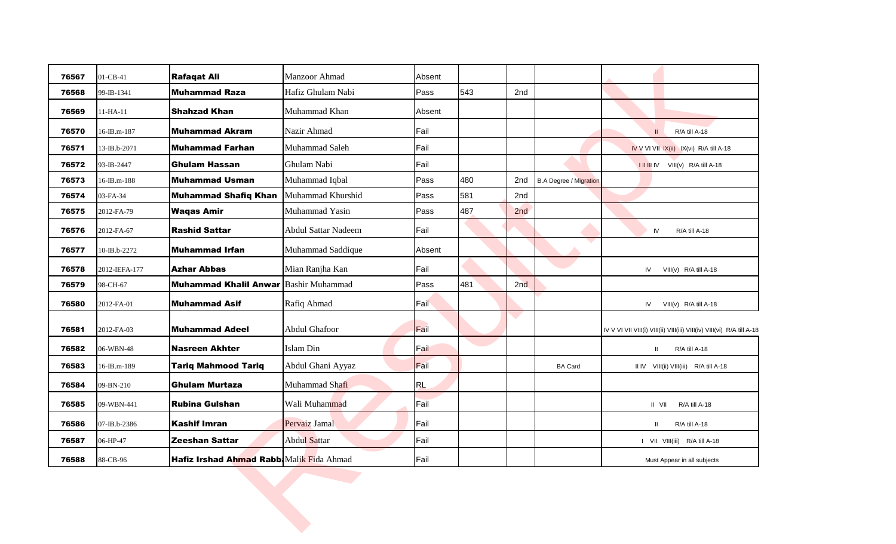| 76567 | 01-CB-41      | <b>Rafaqat Ali</b>                           | Manzoor Ahmad       | Absent       |     |     |                               |                                                                        |
|-------|---------------|----------------------------------------------|---------------------|--------------|-----|-----|-------------------------------|------------------------------------------------------------------------|
| 76568 | 99-IB-1341    | <b>Muhammad Raza</b>                         | Hafiz Ghulam Nabi   | Pass         | 543 | 2nd |                               |                                                                        |
| 76569 | $11-HA-11$    | <b>Shahzad Khan</b>                          | Muhammad Khan       | Absent       |     |     |                               |                                                                        |
| 76570 | 16-IB.m-187   | <b>Muhammad Akram</b>                        | Nazir Ahmad         | Fail         |     |     |                               | R/A till A-18<br>$\mathbf{H}$                                          |
| 76571 | 13-IB.b-2071  | <b>Muhammad Farhan</b>                       | Muhammad Saleh      | Fail         |     |     |                               | IV V VI VII IX(ii) IX(vi) R/A till A-18                                |
| 76572 | 93-IB-2447    | <b>Ghulam Hassan</b>                         | Ghulam Nabi         | Fail         |     |     |                               | <b>I II III IV</b> VIII(v) R/A till A-18                               |
| 76573 | 16-IB.m-188   | <b>Muhammad Usman</b>                        | Muhammad Iqbal      | Pass         | 480 | 2nd | <b>B.A Degree / Migration</b> |                                                                        |
| 76574 | 03-FA-34      | <b>Muhammad Shafiq Khan</b>                  | Muhammad Khurshid   | Pass         | 581 | 2nd |                               |                                                                        |
| 76575 | 2012-FA-79    | <b>Waqas Amir</b>                            | Muhammad Yasin      | Pass         | 487 | 2nd |                               |                                                                        |
| 76576 | 2012-FA-67    | <b>Rashid Sattar</b>                         | Abdul Sattar Nadeem | Fail         |     |     |                               | IV<br>R/A till A-18                                                    |
| 76577 | 10-IB.b-2272  | Muhammad Irfan                               | Muhammad Saddique   | Absent       |     |     |                               |                                                                        |
| 76578 | 2012-IEFA-177 | <b>Azhar Abbas</b>                           | Mian Ranjha Kan     | <b>F</b> ail |     |     |                               | IV<br>$VIII(v)$ R/A till A-18                                          |
| 76579 | 98-CH-67      | <b>Muhammad Khalil Anwar Bashir Muhammad</b> |                     | Pass         | 481 | 2nd |                               |                                                                        |
| 76580 | 2012-FA-01    | <b>Muhammad Asif</b>                         | Rafiq Ahmad         | Fail         |     |     |                               | IV<br>$VIII(v)$ R/A till A-18                                          |
| 76581 | 2012-FA-03    | Muhammad Adeel                               | Abdul Ghafoor       | Fail         |     |     |                               | IV V VI VII VIII(i) VIII(ii) VIII(iii) VIII(iv) VIII(vi) R/A till A-18 |
| 76582 | 06-WBN-48     | <b>Nasreen Akhter</b>                        | Islam Din           | Fail         |     |     |                               | R/A till A-18<br>$\mathbf{II}$                                         |
| 76583 | 16-IB.m-189   | <b>Tariq Mahmood Tariq</b>                   | Abdul Ghani Ayyaz   | Fail         |     |     | <b>BA Card</b>                | II IV VIII(ii) VIII(iii) R/A till A-18                                 |
| 76584 | 09-BN-210     | <b>Ghulam Murtaza</b>                        | Muhammad Shafi      | RL           |     |     |                               |                                                                        |
| 76585 | 09-WBN-441    | <b>Rubina Gulshan</b>                        | Wali Muhammad       | Fail         |     |     |                               | R/A till A-18<br>$II$ VII                                              |
| 76586 | 07-IB.b-2386  | <b>Kashif Imran</b>                          | Pervaiz Jamal       | <b>Fail</b>  |     |     |                               | R/A till A-18                                                          |
| 76587 | 06-HP-47      | Zeeshan Sattar                               | <b>Abdul Sattar</b> | Fail         |     |     |                               | I VII VIII(iii) R/A till A-18                                          |
| 76588 | 88-CB-96      | Hafiz Irshad Ahmad Rabb: Malik Fida Ahmad    |                     | Fail         |     |     |                               | Must Appear in all subjects                                            |
|       |               |                                              |                     |              |     |     |                               |                                                                        |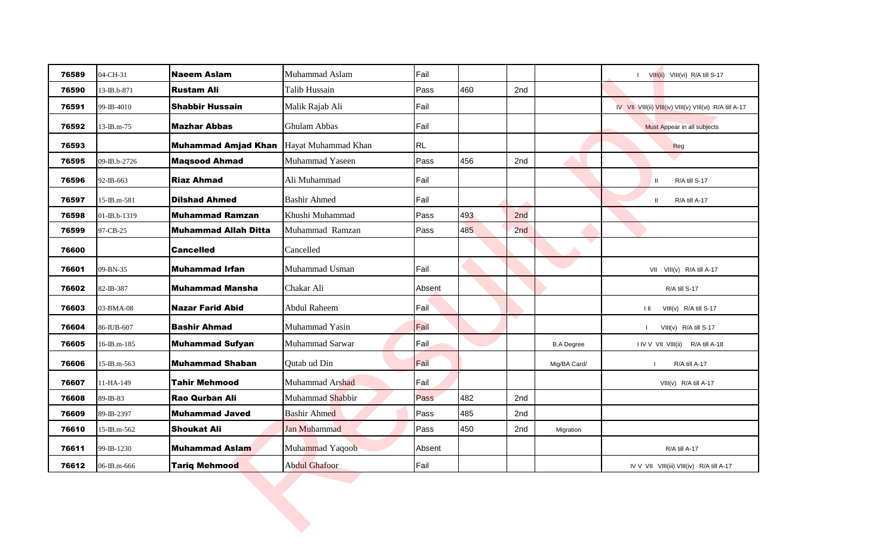| 04-CH-31<br>76589<br>76590<br>13-IB.b-871<br>76591<br>99-IB-4010<br>76592<br>13-IB.m-75 | <b>Naeem Aslam</b><br><b>Rustam Ali</b> | Muhammad Aslam<br>Talib Hussain | Fail      |     |     |                   | I VIII(ii) VIII(vi) R/A till S-17                       |
|-----------------------------------------------------------------------------------------|-----------------------------------------|---------------------------------|-----------|-----|-----|-------------------|---------------------------------------------------------|
|                                                                                         |                                         |                                 |           |     |     |                   |                                                         |
|                                                                                         |                                         |                                 | Pass      | 460 | 2nd |                   |                                                         |
|                                                                                         | <b>Shabbir Hussain</b>                  | Malik Rajab Ali                 | Fail      |     |     |                   | IV VII VIII(ii) VIII(iv) VIII(v) VIII(vi) R/A till A-17 |
|                                                                                         | <b>Mazhar Abbas</b>                     | <b>Ghulam Abbas</b>             | Fail      |     |     |                   | Must Appear in all subjects                             |
| 76593                                                                                   | <b>Muhammad Amjad Khan</b>              | Hayat Muhammad Khan             | <b>RL</b> |     |     |                   | Reg                                                     |
| 76595<br>09-IB.b-2726                                                                   | <b>Maqsood Ahmad</b>                    | Muhammad Yaseen                 | Pass      | 456 | 2nd |                   |                                                         |
| 76596<br>92-IB-663                                                                      | <b>Riaz Ahmad</b>                       | Ali Muhammad                    | Fail      |     |     |                   | R/A till S-17<br>Ш                                      |
| 76597<br>15-IB.m-581                                                                    | <b>Dilshad Ahmed</b>                    | <b>Bashir Ahmed</b>             | Fail      |     |     |                   | R/A till A-17<br>Ш.                                     |
| 76598<br>01-IB.b-1319                                                                   | <b>Muhammad Ramzan</b>                  | Khushi Muhammad                 | Pass      | 493 | 2nd |                   |                                                         |
| 76599<br>97-CB-25                                                                       | <b>Muhammad Allah Ditta</b>             | Muhammad Ramzan                 | Pass      | 485 | 2nd |                   |                                                         |
| 76600                                                                                   | <b>Cancelled</b>                        | Cancelled                       |           |     |     |                   |                                                         |
| 76601<br>09-BN-35                                                                       | Muhammad Irfan                          | Muhammad Usman                  | Fail      |     |     |                   | VII VIII(v) R/A till A-17                               |
| 76602<br>82-IB-387                                                                      | <b>Muhammad Mansha</b>                  | Chakar Ali                      | Absent    |     |     |                   | R/A till S-17                                           |
| 76603<br>03-BMA-08                                                                      | Nazar Farid Abid                        | Abdul Raheem                    | Fail      |     |     |                   | VIII(v) R/A till S-17<br>HШ                             |
| 76604<br>86-IUB-607                                                                     | Bashir Ahmad                            | Muhammad Yasin                  | Fail      |     |     |                   | VIII(v) R/A till S-17                                   |
| 76605<br>16-IB.m-185                                                                    | <b>Muhammad Sufyan</b>                  | Muhammad Sarwar                 | Fail      |     |     | <b>B.A Degree</b> | I IV V VII VIII(ii) R/A till A-18                       |
| 76606<br>15-IB.m-563                                                                    | <b>Muhammad Shaban</b>                  | Qutab ud Din                    | Fail      |     |     | Mig/BA Card/      | R/A till A-17                                           |
| 76607<br>11-HA-149                                                                      | <b>Tahir Mehmood</b>                    | Muhammad Arshad                 | Fail      |     |     |                   | VIII(v) R/A till A-17                                   |
| 89-IB-83<br>76608                                                                       | <b>Rao Qurban Ali</b>                   | Muhammad Shabbir                | Pass      | 482 | 2nd |                   |                                                         |
| 76609<br>89-IB-2397                                                                     | <b>Muhammad Javed</b>                   | <b>Bashir Ahmed</b>             | Pass      | 485 | 2nd |                   |                                                         |
| 76610<br>15-IB.m-562                                                                    | <b>Shoukat Ali</b>                      | <b>Jan Muhammad</b>             | Pass      | 450 | 2nd | Migration         |                                                         |
| 76611<br>99-IB-1230                                                                     | <b>Muhammad Aslam</b>                   | Muhammad Yaqoob                 | Absent    |     |     |                   | R/A till A-17                                           |
| 76612<br>06-IB.m-666                                                                    | <b>Tariq Mehmood</b>                    | <b>Abdul Ghafoor</b>            | Fail      |     |     |                   | IV V VII VIII(iii) VIII(iv) R/A till A-17               |